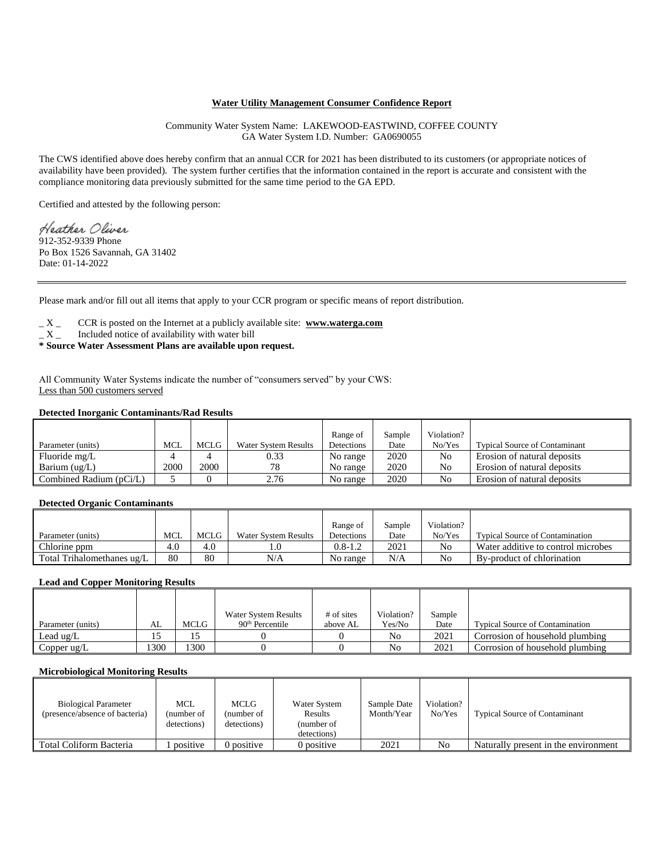# **Water Utility Management Consumer Confidence Report**

Community Water System Name: LAKEWOOD-EASTWIND, COFFEE COUNTY GA Water System I.D. Number: GA0690055

The CWS identified above does hereby confirm that an annual CCR for 2021 has been distributed to its customers (or appropriate notices of availability have been provided). The system further certifies that the information contained in the report is accurate and consistent with the compliance monitoring data previously submitted for the same time period to the GA EPD.

Certified and attested by the following person:

Heather Oliver .<br>912-352-9339 Phone Po Box 1526 Savannah, GA 31402 Date: 01-14-2022

Please mark and/or fill out all items that apply to your CCR program or specific means of report distribution.

\_ X \_ CCR is posted on the Internet at a publicly available site: **www.waterga.com**

- $\_ X$  Included notice of availability with water bill
- **\* Source Water Assessment Plans are available upon request.**

All Community Water Systems indicate the number of "consumers served" by your CWS: Less than 500 customers served

# **Detected Inorganic Contaminants/Rad Results**

|                         |      |      |                             | Range of   | Sample | Violation?     |                                      |
|-------------------------|------|------|-----------------------------|------------|--------|----------------|--------------------------------------|
| Parameter (units)       | MCL  | MCLG | <b>Water System Results</b> | Detections | Date   | No/Yes         | <b>Typical Source of Contaminant</b> |
| Fluoride mg/L           |      |      | 0.33                        | No range   | 2020   | No             | Erosion of natural deposits          |
| Barium $(ug/L)$         | 2000 | 2000 | 78                          | No range   | 2020   | No             | Erosion of natural deposits          |
| Combined Radium (pCi/L) |      |      | 2.76                        | No range   | 2020   | N <sub>0</sub> | Erosion of natural deposits          |

### **Detected Organic Contaminants**

|                            |            |      |                      | Range of    | Sample | Violation? |                                        |
|----------------------------|------------|------|----------------------|-------------|--------|------------|----------------------------------------|
| Parameter (units)          | <b>MCL</b> | MCLG | Water System Results | Detections  | Date   | No/Yes     | <b>Typical Source of Contamination</b> |
| Chlorine ppm               | 4.0        | 4.0  |                      | $0.8 - 1.2$ | 2021   | No         | Water additive to control microbes     |
| Total Trihalomethanes ug/L | 80         | 80   | N/A                  | No range    | N/A    | No         | By-product of chlorination             |

#### **Lead and Copper Monitoring Results**

|                   |      |      | Water System Results | # of sites | Violation?     | Sample |                                        |
|-------------------|------|------|----------------------|------------|----------------|--------|----------------------------------------|
| Parameter (units) | AL   | MCLG | $90th$ Percentile    | above AL   | Yes/No         | Date   | <b>Typical Source of Contamination</b> |
| Lead $\mu$ g/L    |      |      |                      |            | No             | 2021   | Corrosion of household plumbing        |
| Copper $\mu$ g/L  | 1300 | 300  |                      |            | N <sub>0</sub> | 2021   | Corrosion of household plumbing        |

#### **Microbiological Monitoring Results**

| <b>Biological Parameter</b><br>(presence/absence of bacteria) | MCL<br>(number of<br>detections) | MCLG<br>(number of<br>detections) | Water System<br>Results<br>(number of<br>detections) | Sample Date<br>Month/Year | Violation?<br>No/Yes | <b>Typical Source of Contaminant</b> |
|---------------------------------------------------------------|----------------------------------|-----------------------------------|------------------------------------------------------|---------------------------|----------------------|--------------------------------------|
| Total Coliform Bacteria                                       | positive                         | 0 positive                        | 0 positive                                           | 2021                      | No                   | Naturally present in the environment |